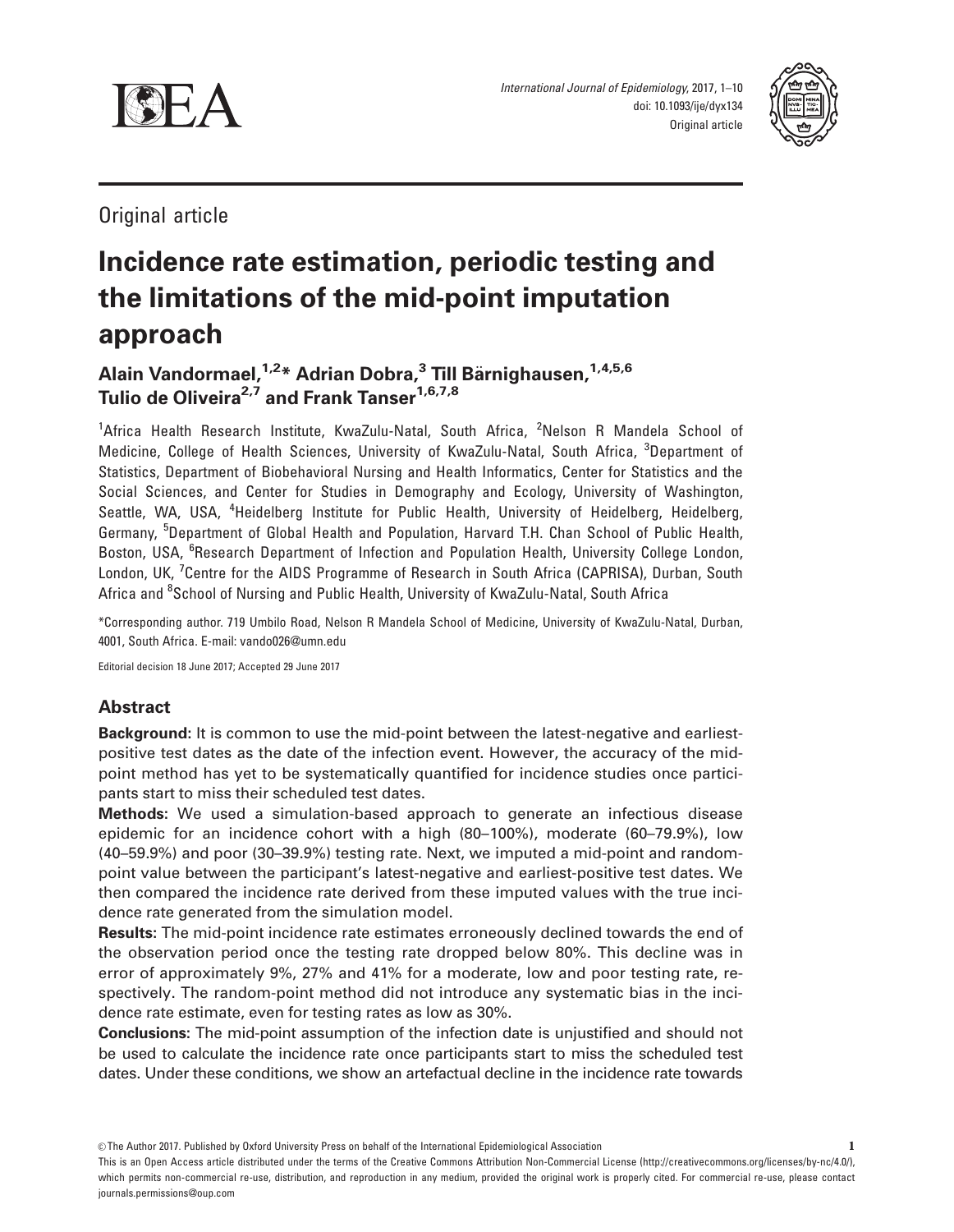

International Journal of Epidemiology, 2017, 1–10 doi: 10.1093/ije/dyx134 Original article



Original article

# Incidence rate estimation, periodic testing and the limitations of the mid-point imputation approach

Alain Vandormael, <sup>1,2\*</sup> Adrian Dobra,<sup>3</sup> Till Bärnighausen, <sup>1,4,5,6</sup> Tulio de Oliveira<sup>2,7</sup> and Frank Tanser<sup>1,6,7,8</sup>

<sup>1</sup>Africa Health Research Institute, KwaZulu-Natal, South Africa, <sup>2</sup>Nelson R Mandela School of Medicine, College of Health Sciences, University of KwaZulu-Natal, South Africa, <sup>3</sup>Department of Statistics, Department of Biobehavioral Nursing and Health Informatics, Center for Statistics and the Social Sciences, and Center for Studies in Demography and Ecology, University of Washington, Seattle, WA, USA, <sup>4</sup>Heidelberg Institute for Public Health, University of Heidelberg, Heidelberg, Germany, <sup>5</sup>Department of Global Health and Population, Harvard T.H. Chan School of Public Health, Boston, USA, <sup>6</sup>Research Department of Infection and Population Health, University College London, London, UK, <sup>7</sup>Centre for the AIDS Programme of Research in South Africa (CAPRISA), Durban, South Africa and <sup>8</sup>School of Nursing and Public Health, University of KwaZulu-Natal, South Africa

\*Corresponding author. 719 Umbilo Road, Nelson R Mandela School of Medicine, University of KwaZulu-Natal, Durban, 4001, South Africa. E-mail: vando026@umn.edu

Editorial decision 18 June 2017; Accepted 29 June 2017

## Abstract

Background: It is common to use the mid-point between the latest-negative and earliestpositive test dates as the date of the infection event. However, the accuracy of the midpoint method has yet to be systematically quantified for incidence studies once participants start to miss their scheduled test dates.

Methods: We used a simulation-based approach to generate an infectious disease epidemic for an incidence cohort with a high (80–100%), moderate (60–79.9%), low (40–59.9%) and poor (30–39.9%) testing rate. Next, we imputed a mid-point and randompoint value between the participant's latest-negative and earliest-positive test dates. We then compared the incidence rate derived from these imputed values with the true incidence rate generated from the simulation model.

Results: The mid-point incidence rate estimates erroneously declined towards the end of the observation period once the testing rate dropped below 80%. This decline was in error of approximately 9%, 27% and 41% for a moderate, low and poor testing rate, respectively. The random-point method did not introduce any systematic bias in the incidence rate estimate, even for testing rates as low as 30%.

**Conclusions:** The mid-point assumption of the infection date is unjustified and should not be used to calculate the incidence rate once participants start to miss the scheduled test dates. Under these conditions, we show an artefactual decline in the incidence rate towards

 $©$  The Author 2017. Published by Oxford University Press on behalf of the International Epidemiological Association

This is an Open Access article distributed under the terms of the Creative Commons Attribution Non-Commercial License (http://creativecommons.org/licenses/by-nc/4.0/), which permits non-commercial re-use, distribution, and reproduction in any medium, provided the original work is properly cited. For commercial re-use, please contact journals.permissions@oup.com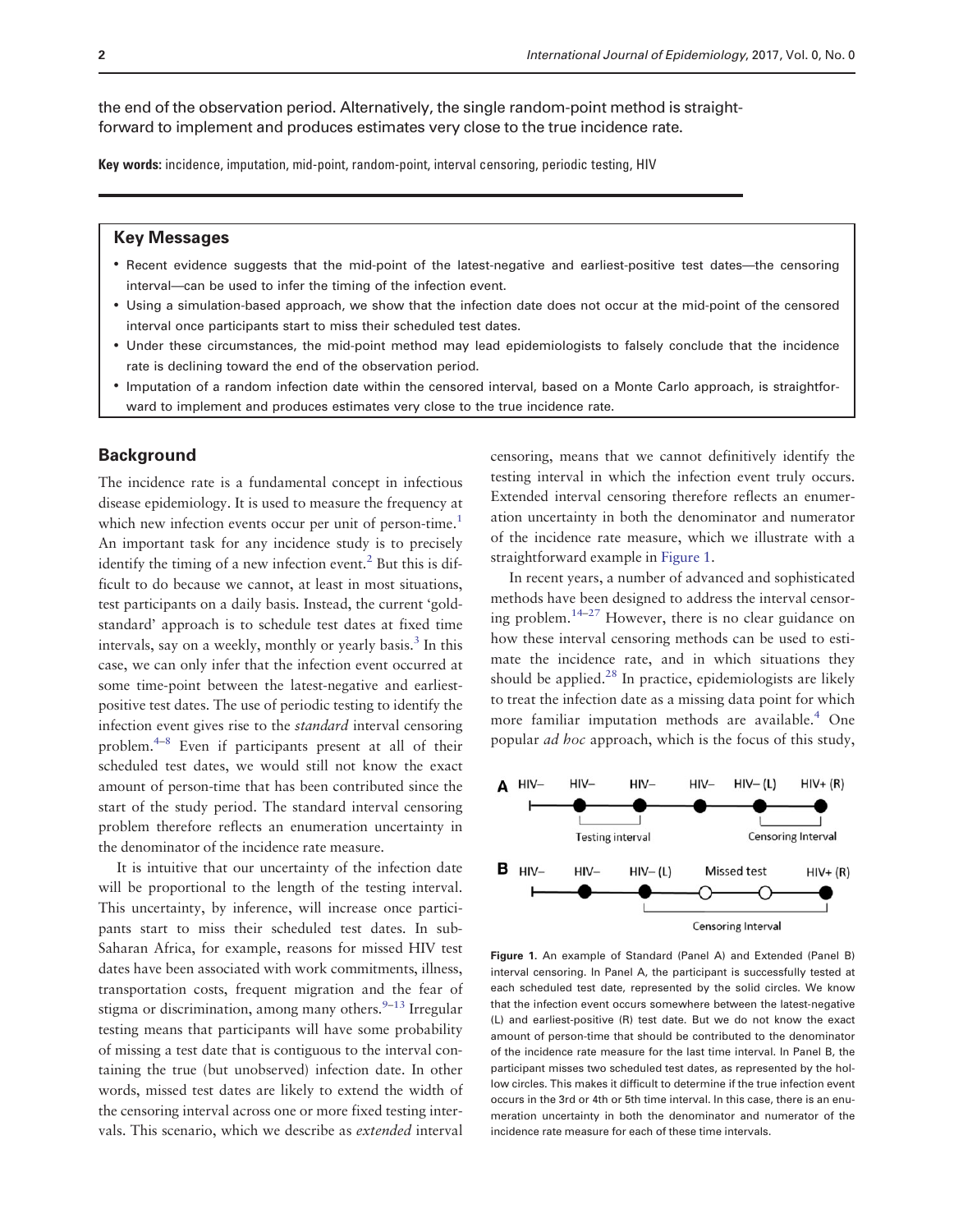the end of the observation period. Alternatively, the single random-point method is straightforward to implement and produces estimates very close to the true incidence rate.

Key words: incidence, imputation, mid-point, random-point, interval censoring, periodic testing, HIV

## Key Messages

- Recent evidence suggests that the mid-point of the latest-negative and earliest-positive test dates—the censoring interval—can be used to infer the timing of the infection event.
- Using a simulation-based approach, we show that the infection date does not occur at the mid-point of the censored interval once participants start to miss their scheduled test dates.
- Under these circumstances, the mid-point method may lead epidemiologists to falsely conclude that the incidence rate is declining toward the end of the observation period.
- Imputation of a random infection date within the censored interval, based on a Monte Carlo approach, is straightforward to implement and produces estimates very close to the true incidence rate.

#### **Background**

The incidence rate is a fundamental concept in infectious disease epidemiology. It is used to measure the frequency at which new infection events occur per unit of person-time.<sup>1</sup> An important task for any incidence study is to precisely identify the timing of a new infection event.<sup>2</sup> But this is difficult to do because we cannot, at least in most situations, test participants on a daily basis. Instead, the current 'goldstandard' approach is to schedule test dates at fixed time intervals, say on a weekly, monthly or yearly basis.<sup>[3](#page-8-0)</sup> In this case, we can only infer that the infection event occurred at some time-point between the latest-negative and earliestpositive test dates. The use of periodic testing to identify the infection event gives rise to the standard interval censoring problem.[4](#page-8-0)–[8](#page-8-0) Even if participants present at all of their scheduled test dates, we would still not know the exact amount of person-time that has been contributed since the start of the study period. The standard interval censoring problem therefore reflects an enumeration uncertainty in the denominator of the incidence rate measure.

It is intuitive that our uncertainty of the infection date will be proportional to the length of the testing interval. This uncertainty, by inference, will increase once participants start to miss their scheduled test dates. In sub-Saharan Africa, for example, reasons for missed HIV test dates have been associated with work commitments, illness, transportation costs, frequent migration and the fear of stigma or discrimination, among many others. $9-13$  $9-13$  Irregular testing means that participants will have some probability of missing a test date that is contiguous to the interval containing the true (but unobserved) infection date. In other words, missed test dates are likely to extend the width of the censoring interval across one or more fixed testing intervals. This scenario, which we describe as extended interval

censoring, means that we cannot definitively identify the testing interval in which the infection event truly occurs. Extended interval censoring therefore reflects an enumeration uncertainty in both the denominator and numerator of the incidence rate measure, which we illustrate with a straightforward example in Figure 1.

In recent years, a number of advanced and sophisticated methods have been designed to address the interval censor-ing problem.<sup>[14](#page-8-0)–[27](#page-8-0)</sup> However, there is no clear guidance on how these interval censoring methods can be used to estimate the incidence rate, and in which situations they should be applied. $^{28}$  $^{28}$  $^{28}$  In practice, epidemiologists are likely to treat the infection date as a missing data point for which more familiar imputation methods are available.<sup>[4](#page-8-0)</sup> One popular ad hoc approach, which is the focus of this study,



Figure 1. An example of Standard (Panel A) and Extended (Panel B) interval censoring. In Panel A, the participant is successfully tested at each scheduled test date, represented by the solid circles. We know that the infection event occurs somewhere between the latest-negative (L) and earliest-positive (R) test date. But we do not know the exact amount of person-time that should be contributed to the denominator of the incidence rate measure for the last time interval. In Panel B, the participant misses two scheduled test dates, as represented by the hollow circles. This makes it difficult to determine if the true infection event occurs in the 3rd or 4th or 5th time interval. In this case, there is an enumeration uncertainty in both the denominator and numerator of the incidence rate measure for each of these time intervals.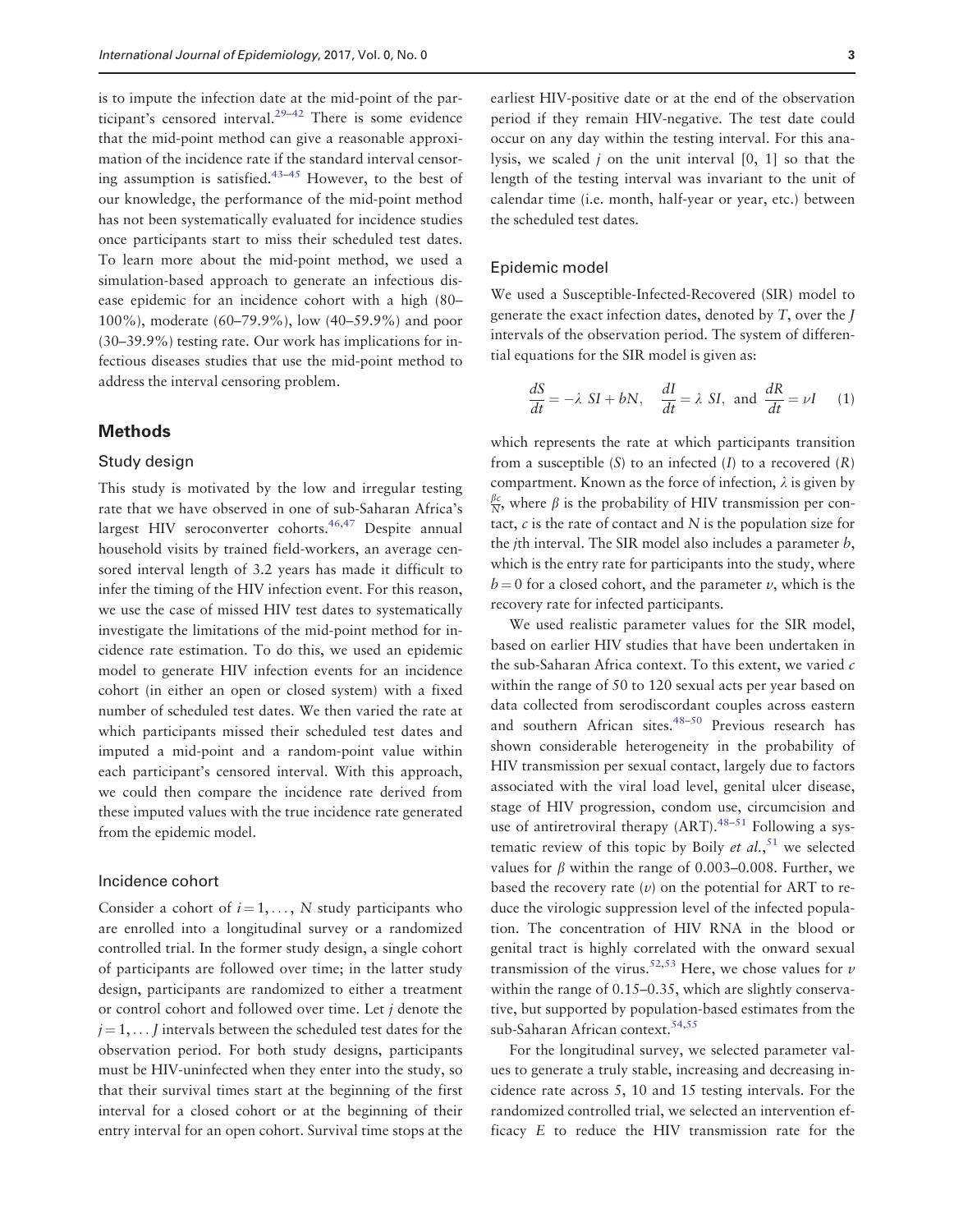is to impute the infection date at the mid-point of the par-ticipant's censored interval.<sup>[29](#page-8-0)–[42](#page-9-0)</sup> There is some evidence that the mid-point method can give a reasonable approximation of the incidence rate if the standard interval censoring assumption is satisfied. $43-45$  However, to the best of our knowledge, the performance of the mid-point method has not been systematically evaluated for incidence studies once participants start to miss their scheduled test dates. To learn more about the mid-point method, we used a simulation-based approach to generate an infectious disease epidemic for an incidence cohort with a high (80– 100%), moderate (60–79.9%), low (40–59.9%) and poor (30–39.9%) testing rate. Our work has implications for infectious diseases studies that use the mid-point method to address the interval censoring problem.

## **Methods**

#### Study design

This study is motivated by the low and irregular testing rate that we have observed in one of sub-Saharan Africa's largest HIV seroconverter cohorts.<sup>[46,47](#page-9-0)</sup> Despite annual household visits by trained field-workers, an average censored interval length of 3.2 years has made it difficult to infer the timing of the HIV infection event. For this reason, we use the case of missed HIV test dates to systematically investigate the limitations of the mid-point method for incidence rate estimation. To do this, we used an epidemic model to generate HIV infection events for an incidence cohort (in either an open or closed system) with a fixed number of scheduled test dates. We then varied the rate at which participants missed their scheduled test dates and imputed a mid-point and a random-point value within each participant's censored interval. With this approach, we could then compare the incidence rate derived from these imputed values with the true incidence rate generated from the epidemic model.

#### Incidence cohort

Consider a cohort of  $i = 1, \ldots, N$  study participants who are enrolled into a longitudinal survey or a randomized controlled trial. In the former study design, a single cohort of participants are followed over time; in the latter study design, participants are randomized to either a treatment or control cohort and followed over time. Let  $j$  denote the  $j = 1, \ldots$  J intervals between the scheduled test dates for the observation period. For both study designs, participants must be HIV-uninfected when they enter into the study, so that their survival times start at the beginning of the first interval for a closed cohort or at the beginning of their entry interval for an open cohort. Survival time stops at the

earliest HIV-positive date or at the end of the observation period if they remain HIV-negative. The test date could occur on any day within the testing interval. For this analysis, we scaled  $j$  on the unit interval  $[0, 1]$  so that the length of the testing interval was invariant to the unit of calendar time (i.e. month, half-year or year, etc.) between the scheduled test dates.

#### Epidemic model

We used a Susceptible-Infected-Recovered (SIR) model to generate the exact infection dates, denoted by T, over the J intervals of the observation period. The system of differential equations for the SIR model is given as:

$$
\frac{dS}{dt} = -\lambda SI + bN, \quad \frac{dI}{dt} = \lambda SI, \text{ and } \frac{dR}{dt} = \nu I \quad (1)
$$

which represents the rate at which participants transition from a susceptible  $(S)$  to an infected  $(I)$  to a recovered  $(R)$ compartment. Known as the force of infection,  $\lambda$  is given by  $\frac{\beta c}{N}$ , where  $\beta$  is the probability of HIV transmission per contact,  $c$  is the rate of contact and  $N$  is the population size for the jth interval. The SIR model also includes a parameter b, which is the entry rate for participants into the study, where  $b = 0$  for a closed cohort, and the parameter v, which is the recovery rate for infected participants.

We used realistic parameter values for the SIR model, based on earlier HIV studies that have been undertaken in the sub-Saharan Africa context. To this extent, we varied  $c$ within the range of 50 to 120 sexual acts per year based on data collected from serodiscordant couples across eastern and southern African sites.<sup>48–50</sup> Previous research has shown considerable heterogeneity in the probability of HIV transmission per sexual contact, largely due to factors associated with the viral load level, genital ulcer disease, stage of HIV progression, condom use, circumcision and use of antiretroviral therapy  $(ART), ^{48-51}$  $(ART), ^{48-51}$  $(ART), ^{48-51}$  $(ART), ^{48-51}$  $(ART), ^{48-51}$  Following a systematic review of this topic by Boily et al.,  $51$  we selected values for  $\beta$  within the range of 0.003–0.008. Further, we based the recovery rate  $(v)$  on the potential for ART to reduce the virologic suppression level of the infected population. The concentration of HIV RNA in the blood or genital tract is highly correlated with the onward sexual transmission of the virus.<sup>52,53</sup> Here, we chose values for  $\nu$ within the range of 0.15–0.35, which are slightly conservative, but supported by population-based estimates from the sub-Saharan African context.<sup>[54,55](#page-9-0)</sup>

For the longitudinal survey, we selected parameter values to generate a truly stable, increasing and decreasing incidence rate across 5, 10 and 15 testing intervals. For the randomized controlled trial, we selected an intervention efficacy E to reduce the HIV transmission rate for the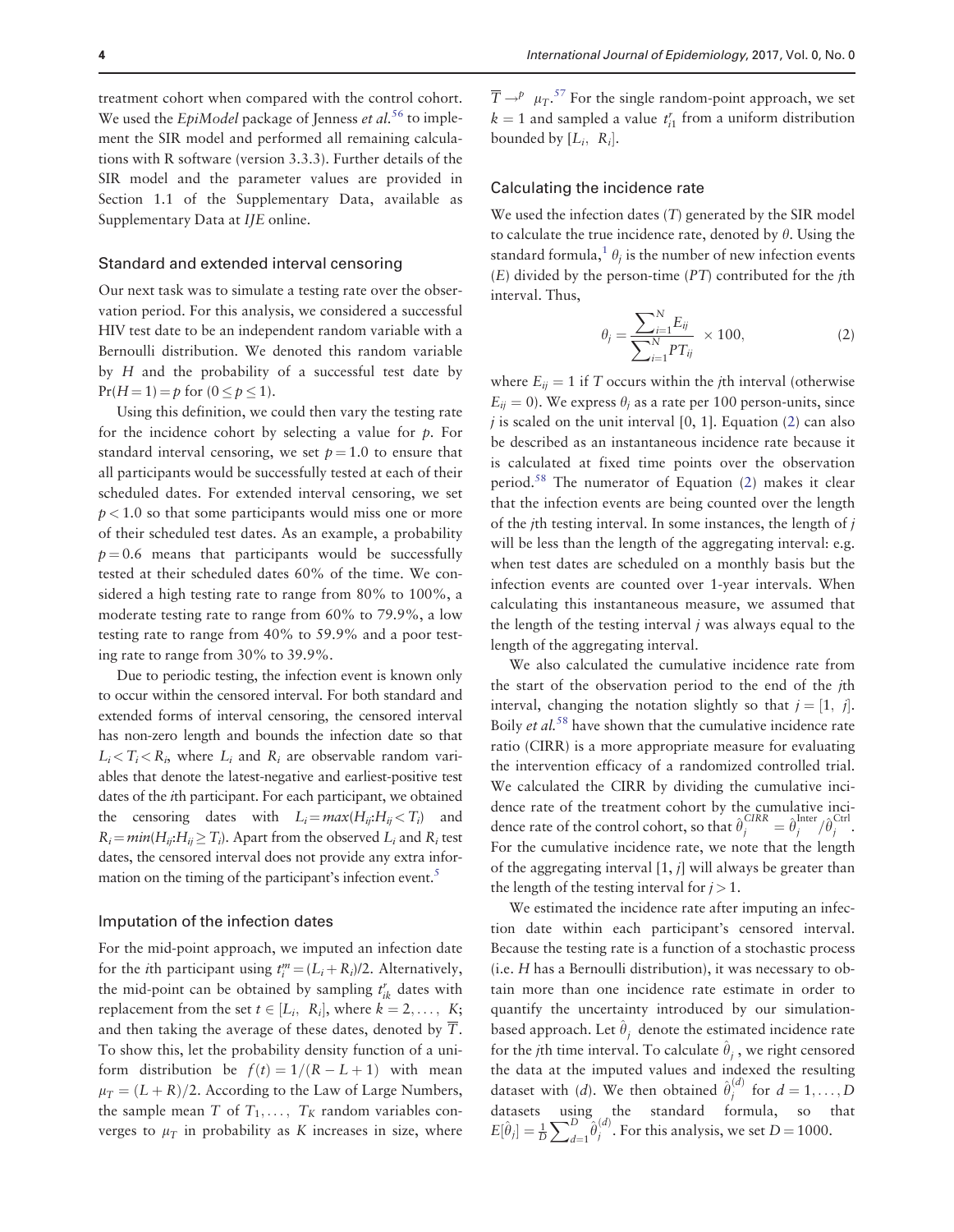treatment cohort when compared with the control cohort. We used the *EpiModel* package of Jenness *et al.*<sup>[56](#page-9-0)</sup> to implement the SIR model and performed all remaining calculations with R software (version 3.3.3). Further details of the SIR model and the parameter values are provided in Section 1.1 of the Supplementary Data, available as Supplementary Data at IJE online.

#### Standard and extended interval censoring

Our next task was to simulate a testing rate over the observation period. For this analysis, we considered a successful HIV test date to be an independent random variable with a Bernoulli distribution. We denoted this random variable by H and the probability of a successful test date by  $Pr(H = 1) = p$  for  $(0 \le p \le 1)$ .

Using this definition, we could then vary the testing rate for the incidence cohort by selecting a value for  $p$ . For standard interval censoring, we set  $p = 1.0$  to ensure that all participants would be successfully tested at each of their scheduled dates. For extended interval censoring, we set  $p < 1.0$  so that some participants would miss one or more of their scheduled test dates. As an example, a probability  $p = 0.6$  means that participants would be successfully tested at their scheduled dates 60% of the time. We considered a high testing rate to range from 80% to 100%, a moderate testing rate to range from 60% to 79.9%, a low testing rate to range from 40% to 59.9% and a poor testing rate to range from 30% to 39.9%.

Due to periodic testing, the infection event is known only to occur within the censored interval. For both standard and extended forms of interval censoring, the censored interval has non-zero length and bounds the infection date so that  $L_i < T_i < R_i$ , where  $L_i$  and  $R_i$  are observable random variables that denote the latest-negative and earliest-positive test dates of the ith participant. For each participant, we obtained the censoring dates with  $L_i = max(H_{ii}:H_{ii} < T_i)$  and  $R_i = min(H_{ii}:H_{ii} \geq T_i)$ . Apart from the observed  $L_i$  and  $R_i$  test dates, the censored interval does not provide any extra infor-mation on the timing of the participant's infection event.<sup>[5](#page-8-0)</sup>

#### Imputation of the infection dates

For the mid-point approach, we imputed an infection date for the *i*th participant using  $t_i^m = (L_i + R_i)/2$ . Alternatively, the mid-point can be obtained by sampling  $t_{ik}^r$  dates with replacement from the set  $t \in [L_i, R_i]$ , where  $k = 2, \ldots, K;$ and then taking the average of these dates, denoted by T. To show this, let the probability density function of a uniform distribution be  $f(t) = 1/(R - L + 1)$  with mean  $\mu_T = (L + R)/2$ . According to the Law of Large Numbers, the sample mean T of  $T_1, \ldots, T_K$  random variables converges to  $\mu$ <sup>T</sup> in probability as K increases in size, where

 $\overline{T} \rightarrow^p \mu_T$ .<sup>[57](#page-9-0)</sup> For the single random-point approach, we set  $k = 1$  and sampled a value  $t_{i1}^r$  from a uniform distribution bounded by  $[L_i, R_i]$ .

#### Calculating the incidence rate

We used the infection dates  $(T)$  generated by the SIR model to calculate the true incidence rate, denoted by  $\theta$ . Using the standard formula,<sup>[1](#page-7-0)</sup>  $\theta_i$  is the number of new infection events  $(E)$  divided by the person-time  $(PT)$  contributed for the *i*th interval. Thus,

$$
\theta_{j} = \frac{\sum_{i=1}^{N} E_{ij}}{\sum_{i=1}^{N} PT_{ij}} \times 100,
$$
\n(2)

where  $E_{ij} = 1$  if T occurs within the *j*th interval (otherwise  $E_{ij} = 0$ ). We express  $\theta_i$  as a rate per 100 person-units, since  $j$  is scaled on the unit interval [0, 1]. Equation (2) can also be described as an instantaneous incidence rate because it is calculated at fixed time points over the observation period.<sup>58</sup> The numerator of Equation  $(2)$  makes it clear that the infection events are being counted over the length of the *j*th testing interval. In some instances, the length of  $j$ will be less than the length of the aggregating interval: e.g. when test dates are scheduled on a monthly basis but the infection events are counted over 1-year intervals. When calculating this instantaneous measure, we assumed that the length of the testing interval  $j$  was always equal to the length of the aggregating interval.

We also calculated the cumulative incidence rate from the start of the observation period to the end of the jth interval, changing the notation slightly so that  $j = \begin{bmatrix} 1, j \end{bmatrix}$ . Boily *et al.*<sup>[58](#page-9-0)</sup> have shown that the cumulative incidence rate ratio (CIRR) is a more appropriate measure for evaluating the intervention efficacy of a randomized controlled trial. We calculated the CIRR by dividing the cumulative incidence rate of the treatment cohort by the cumulative incidence rate of the control cohort, so that  $\hat{\theta}_j^{CIRR} = \hat{\theta}_j^{Inter}/\hat{\theta}_j^{Ctrl}$ . For the cumulative incidence rate, we note that the length of the aggregating interval  $[1, j]$  will always be greater than the length of the testing interval for  $j > 1$ .

We estimated the incidence rate after imputing an infection date within each participant's censored interval. Because the testing rate is a function of a stochastic process (i.e. H has a Bernoulli distribution), it was necessary to obtain more than one incidence rate estimate in order to quantify the uncertainty introduced by our simulationbased approach. Let  $\hat{\theta}_i$  denote the estimated incidence rate for the *j*th time interval. To calculate  $\hat{\theta}_i$ , we right censored the data at the imputed values and indexed the resulting dataset with (d). We then obtained  $\hat{\theta}^{(d)}_j$  for  $d = 1, ..., D$ datasets using the standard formula, so that  $E[\hat{\theta}_j] = \frac{1}{D}$  $\sum_{D}$  $\int_{d=1}^{D} \hat{\theta}_j^{(d)}$ . For this analysis, we set  $D = 1000$ .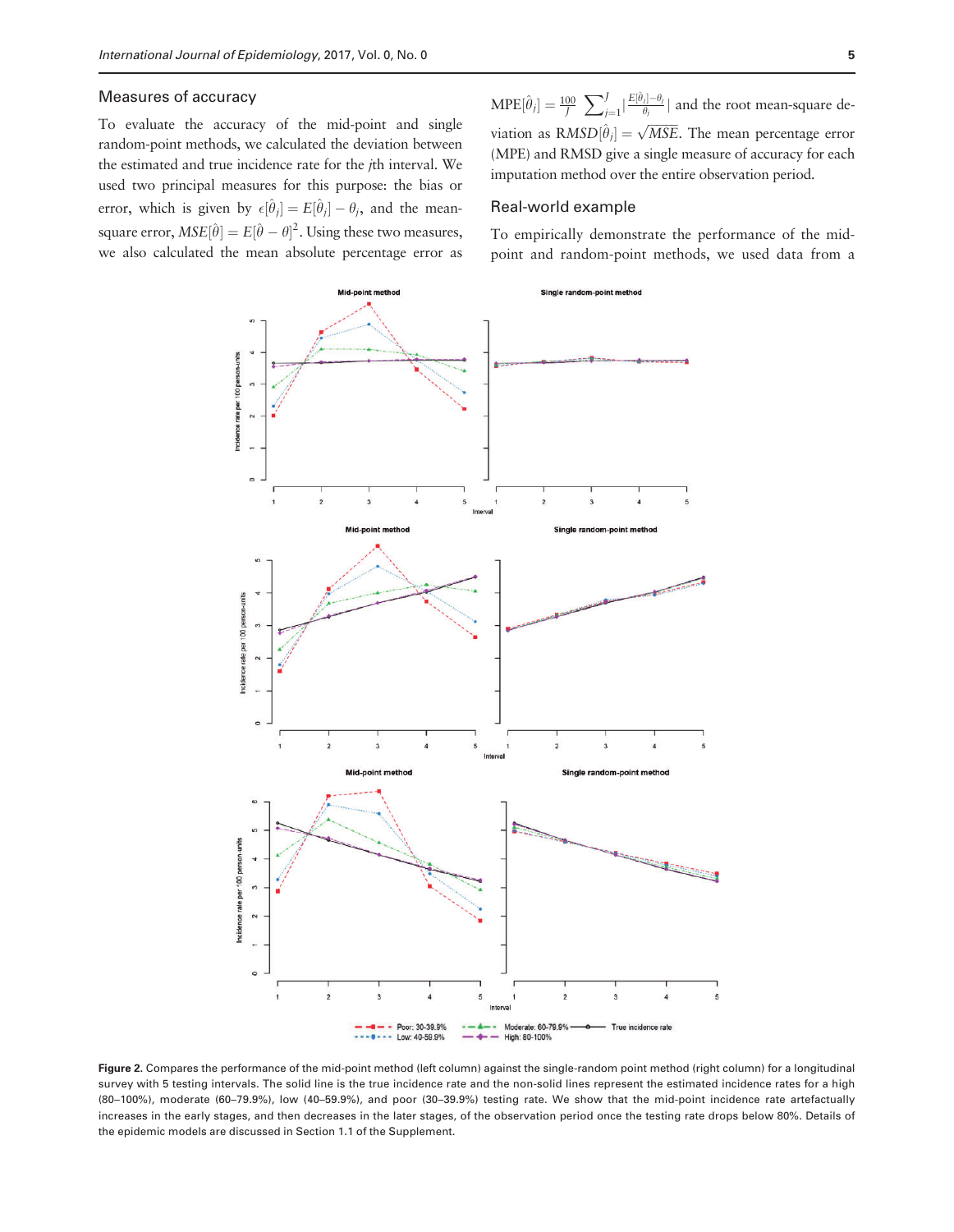## <span id="page-4-0"></span>Measures of accuracy

To evaluate the accuracy of the mid-point and single random-point methods, we calculated the deviation between the estimated and true incidence rate for the jth interval. We used two principal measures for this purpose: the bias or error, which is given by  $\epsilon[\hat{\theta}_j] = E[\hat{\theta}_j] - \theta_j$ , and the meansquare error,  $MSE[\hat{\theta}] = E[\hat{\theta} - \theta]^2$ . Using these two measures, we also calculated the mean absolute percentage error as

 $MPE[\hat{\theta}_j] = \frac{100}{J}$  $\overline{\phantom{a}}$  $\frac{J}{j=1}|\frac{E[\hat{\theta}_j]-\theta_j}{\theta_j}|$  and the root mean-square deviation as  $\overline{RMSD}[\hat{\theta}_j] = \sqrt{MSE}$ . The mean percentage error (MPE) and RMSD give a single measure of accuracy for each imputation method over the entire observation period.

#### Real-world example

To empirically demonstrate the performance of the midpoint and random-point methods, we used data from a



Figure 2. Compares the performance of the mid-point method (left column) against the single-random point method (right column) for a longitudinal survey with 5 testing intervals. The solid line is the true incidence rate and the non-solid lines represent the estimated incidence rates for a high (80–100%), moderate (60–79.9%), low (40–59.9%), and poor (30–39.9%) testing rate. We show that the mid-point incidence rate artefactually increases in the early stages, and then decreases in the later stages, of the observation period once the testing rate drops below 80%. Details of the epidemic models are discussed in Section 1.1 of the Supplement.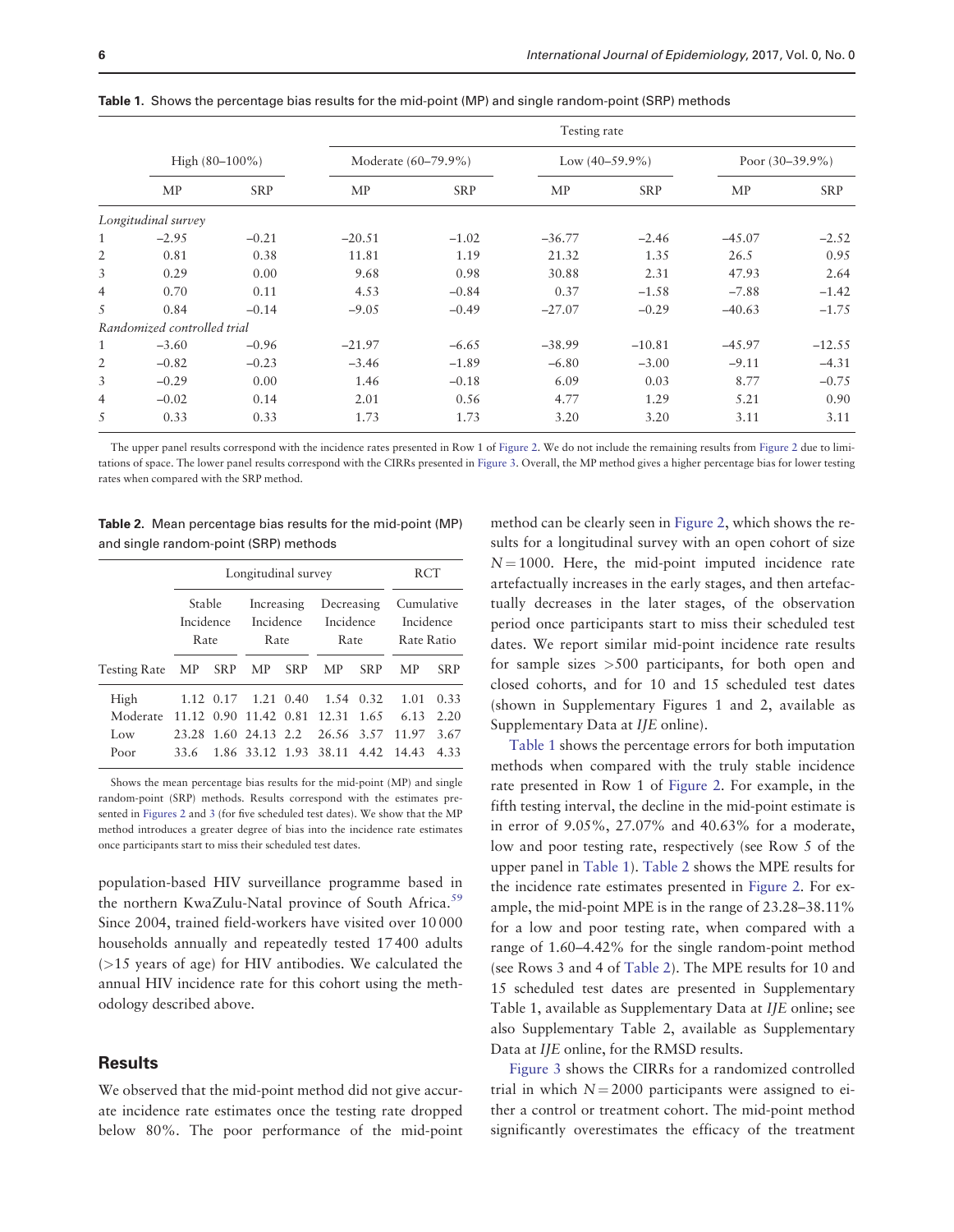|                | Testing rate                |            |                     |            |                   |            |                    |            |  |  |  |
|----------------|-----------------------------|------------|---------------------|------------|-------------------|------------|--------------------|------------|--|--|--|
|                | High $(80-100\%)$           |            | Moderate (60–79.9%) |            | Low $(40-59.9\%)$ |            | Poor $(30-39.9\%)$ |            |  |  |  |
|                | <b>MP</b>                   | <b>SRP</b> | <b>MP</b>           | <b>SRP</b> | <b>MP</b>         | <b>SRP</b> | MP                 | <b>SRP</b> |  |  |  |
|                | Longitudinal survey         |            |                     |            |                   |            |                    |            |  |  |  |
| 1              | $-2.95$                     | $-0.21$    | $-20.51$            | $-1.02$    | $-36.77$          | $-2.46$    | $-45.07$           | $-2.52$    |  |  |  |
| $\overline{2}$ | 0.81                        | 0.38       | 11.81               | 1.19       | 21.32             | 1.35       | 26.5               | 0.95       |  |  |  |
| 3              | 0.29                        | 0.00       | 9.68                | 0.98       | 30.88             | 2.31       | 47.93              | 2.64       |  |  |  |
| 4              | 0.70                        | 0.11       | 4.53                | $-0.84$    | 0.37              | $-1.58$    | $-7.88$            | $-1.42$    |  |  |  |
| 5              | 0.84                        | $-0.14$    | $-9.05$             | $-0.49$    | $-27.07$          | $-0.29$    | $-40.63$           | $-1.75$    |  |  |  |
|                | Randomized controlled trial |            |                     |            |                   |            |                    |            |  |  |  |
| $\mathbf{1}$   | $-3.60$                     | $-0.96$    | $-21.97$            | $-6.65$    | $-38.99$          | $-10.81$   | $-45.97$           | $-12.55$   |  |  |  |
| 2              | $-0.82$                     | $-0.23$    | $-3.46$             | $-1.89$    | $-6.80$           | $-3.00$    | $-9.11$            | $-4.31$    |  |  |  |
| 3              | $-0.29$                     | 0.00       | 1.46                | $-0.18$    | 6.09              | 0.03       | 8.77               | $-0.75$    |  |  |  |
| 4              | $-0.02$                     | 0.14       | 2.01                | 0.56       | 4.77              | 1.29       | 5.21               | 0.90       |  |  |  |
| 5              | 0.33                        | 0.33       | 1.73                | 1.73       | 3.20              | 3.20       | 3.11               | 3.11       |  |  |  |

<span id="page-5-0"></span>Table 1. Shows the percentage bias results for the mid-point (MP) and single random-point (SRP) methods

The upper panel results correspond with the incidence rates presented in Row 1 of [Figure 2](#page-4-0). We do not include the remaining results from [Figure 2](#page-4-0) due to limitations of space. The lower panel results correspond with the CIRRs presented in [Figure 3](#page-6-0). Overall, the MP method gives a higher percentage bias for lower testing rates when compared with the SRP method.

Table 2. Mean percentage bias results for the mid-point (MP) and single random-point (SRP) methods

|                        |                             | RCT |                                 |            |                                  |            |                                       |            |
|------------------------|-----------------------------|-----|---------------------------------|------------|----------------------------------|------------|---------------------------------------|------------|
|                        | Stable<br>Incidence<br>Rate |     | Increasing<br>Incidence<br>Rate |            | Decreasing<br>Incidence<br>Rate  |            | Cumulative<br>Incidence<br>Rate Ratio |            |
| Testing Rate MP SRP MP |                             |     |                                 | <b>SRP</b> | MP                               | <b>SRP</b> | MP                                    | <b>SRP</b> |
| High                   |                             |     | 1.12 0.17 1.21 0.40             |            | $1.54 \quad 0.32$                |            | 1.01                                  | 0.33       |
| Moderate               |                             |     |                                 |            | 11.12 0.90 11.42 0.81 12.31 1.65 |            | 6.13                                  | 2.20       |
| Low                    | 23.28                       |     | 1.60 24.13 2.2                  |            | 26.56 3.57                       |            | 11.97                                 | 3.67       |
| Poor                   | 33.6                        |     |                                 |            | 1.86 33.12 1.93 38.11 4.42       |            | 14.43                                 | 4.33       |

Shows the mean percentage bias results for the mid-point (MP) and single random-point (SRP) methods. Results correspond with the estimates presented in [Figures 2](#page-4-0) and [3](#page-6-0) (for five scheduled test dates). We show that the MP method introduces a greater degree of bias into the incidence rate estimates once participants start to miss their scheduled test dates.

population-based HIV surveillance programme based in the northern KwaZulu-Natal province of South Africa.<sup>59</sup> Since 2004, trained field-workers have visited over 10 000 households annually and repeatedly tested 17 400 adults (>15 years of age) for HIV antibodies. We calculated the annual HIV incidence rate for this cohort using the methodology described above.

## **Results**

We observed that the mid-point method did not give accurate incidence rate estimates once the testing rate dropped below 80%. The poor performance of the mid-point method can be clearly seen in [Figure 2,](#page-4-0) which shows the results for a longitudinal survey with an open cohort of size  $N = 1000$ . Here, the mid-point imputed incidence rate artefactually increases in the early stages, and then artefactually decreases in the later stages, of the observation period once participants start to miss their scheduled test dates. We report similar mid-point incidence rate results for sample sizes >500 participants, for both open and closed cohorts, and for 10 and 15 scheduled test dates (shown in Supplementary Figures 1 and 2, available as Supplementary Data at IJE online).

Table 1 shows the percentage errors for both imputation methods when compared with the truly stable incidence rate presented in Row 1 of [Figure 2.](#page-4-0) For example, in the fifth testing interval, the decline in the mid-point estimate is in error of 9.05%, 27.07% and 40.63% for a moderate, low and poor testing rate, respectively (see Row 5 of the upper panel in Table 1). Table 2 shows the MPE results for the incidence rate estimates presented in [Figure 2.](#page-4-0) For example, the mid-point MPE is in the range of 23.28–38.11% for a low and poor testing rate, when compared with a range of 1.60–4.42% for the single random-point method (see Rows 3 and 4 of Table 2). The MPE results for 10 and 15 scheduled test dates are presented in Supplementary Table 1, available as Supplementary Data at IJE online; see also Supplementary Table 2, available as Supplementary Data at *IJE* online, for the RMSD results.

[Figure 3](#page-6-0) shows the CIRRs for a randomized controlled trial in which  $N = 2000$  participants were assigned to either a control or treatment cohort. The mid-point method significantly overestimates the efficacy of the treatment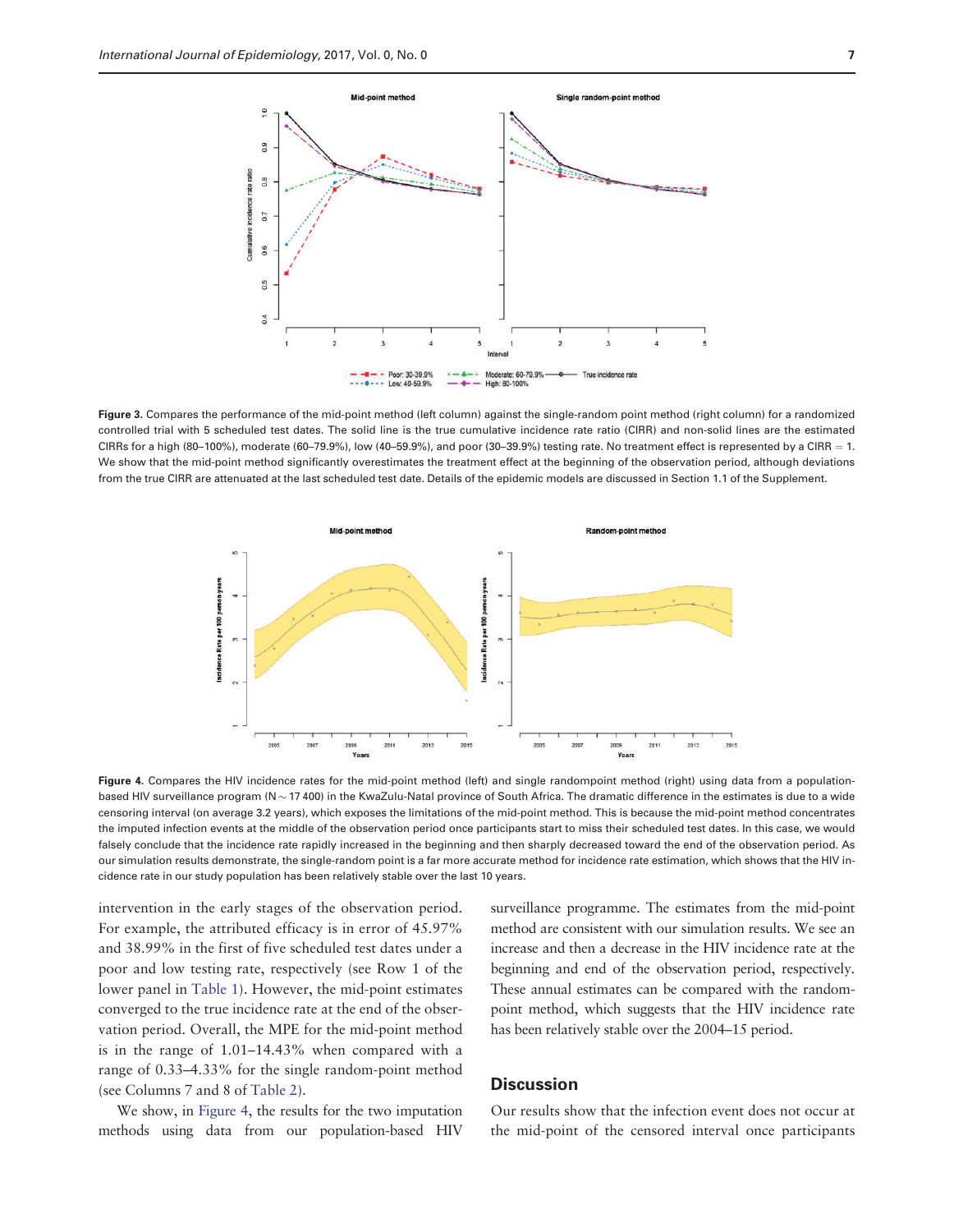<span id="page-6-0"></span> $1.0$ 

 $\overline{0.9}$ 

0.8

 $\overline{a}$ 

0.6

Cumulative incidence rate ratio

Mid-point meth





Figure 3. Compares the performance of the mid-point method (left column) against the single-random point method (right column) for a randomized controlled trial with 5 scheduled test dates. The solid line is the true cumulative incidence rate ratio (CIRR) and non-solid lines are the estimated CIRRs for a high (80-100%), moderate (60-79.9%), low (40-59.9%), and poor (30-39.9%) testing rate. No treatment effect is represented by a CIRR = 1. We show that the mid-point method significantly overestimates the treatment effect at the beginning of the observation period, although deviations from the true CIRR are attenuated at the last scheduled test date. Details of the epidemic models are discussed in Section 1.1 of the Supplement.



Figure 4. Compares the HIV incidence rates for the mid-point method (left) and single randompoint method (right) using data from a populationbased HIV surveillance program ( $N \sim 17400$ ) in the KwaZulu-Natal province of South Africa. The dramatic difference in the estimates is due to a wide censoring interval (on average 3.2 years), which exposes the limitations of the mid-point method. This is because the mid-point method concentrates the imputed infection events at the middle of the observation period once participants start to miss their scheduled test dates. In this case, we would falsely conclude that the incidence rate rapidly increased in the beginning and then sharply decreased toward the end of the observation period. As our simulation results demonstrate, the single-random point is a far more accurate method for incidence rate estimation, which shows that the HIV incidence rate in our study population has been relatively stable over the last 10 years.

intervention in the early stages of the observation period. For example, the attributed efficacy is in error of 45.97% and 38.99% in the first of five scheduled test dates under a poor and low testing rate, respectively (see Row 1 of the lower panel in [Table 1](#page-5-0)). However, the mid-point estimates converged to the true incidence rate at the end of the observation period. Overall, the MPE for the mid-point method is in the range of 1.01–14.43% when compared with a range of 0.33–4.33% for the single random-point method (see Columns 7 and 8 of [Table 2\)](#page-5-0).

We show, in Figure 4, the results for the two imputation methods using data from our population-based HIV

surveillance programme. The estimates from the mid-point method are consistent with our simulation results. We see an increase and then a decrease in the HIV incidence rate at the beginning and end of the observation period, respectively. These annual estimates can be compared with the randompoint method, which suggests that the HIV incidence rate has been relatively stable over the 2004–15 period.

## **Discussion**

Our results show that the infection event does not occur at the mid-point of the censored interval once participants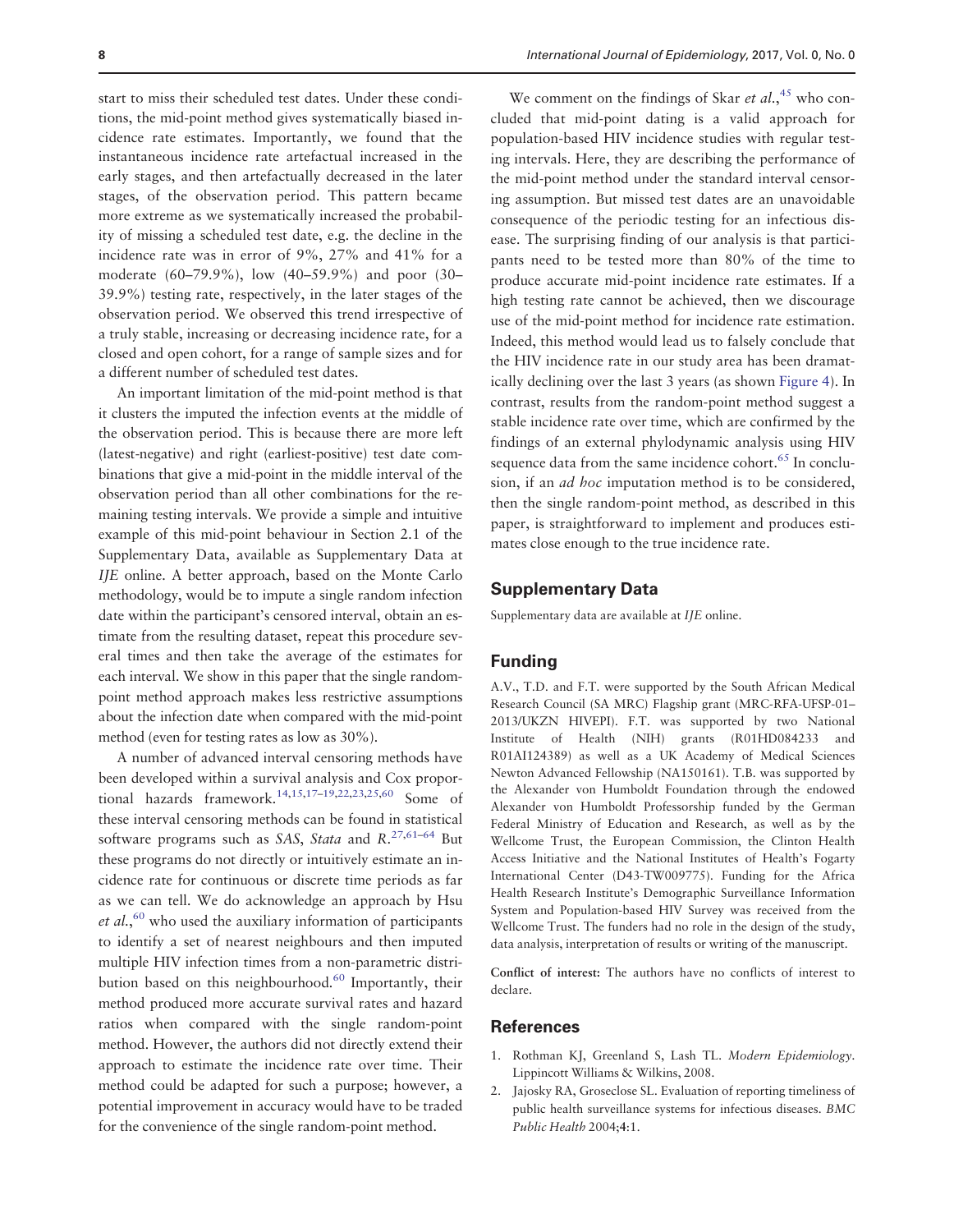<span id="page-7-0"></span>start to miss their scheduled test dates. Under these conditions, the mid-point method gives systematically biased incidence rate estimates. Importantly, we found that the instantaneous incidence rate artefactual increased in the early stages, and then artefactually decreased in the later stages, of the observation period. This pattern became more extreme as we systematically increased the probability of missing a scheduled test date, e.g. the decline in the incidence rate was in error of 9%, 27% and 41% for a moderate (60–79.9%), low (40–59.9%) and poor (30– 39.9%) testing rate, respectively, in the later stages of the observation period. We observed this trend irrespective of a truly stable, increasing or decreasing incidence rate, for a closed and open cohort, for a range of sample sizes and for a different number of scheduled test dates.

An important limitation of the mid-point method is that it clusters the imputed the infection events at the middle of the observation period. This is because there are more left (latest-negative) and right (earliest-positive) test date combinations that give a mid-point in the middle interval of the observation period than all other combinations for the remaining testing intervals. We provide a simple and intuitive example of this mid-point behaviour in Section 2.1 of the Supplementary Data, available as Supplementary Data at IJE online. A better approach, based on the Monte Carlo methodology, would be to impute a single random infection date within the participant's censored interval, obtain an estimate from the resulting dataset, repeat this procedure several times and then take the average of the estimates for each interval. We show in this paper that the single randompoint method approach makes less restrictive assumptions about the infection date when compared with the mid-point method (even for testing rates as low as 30%).

A number of advanced interval censoring methods have been developed within a survival analysis and Cox propor-tional hazards framework.<sup>14,15,17-19,22,23,25[,60](#page-9-0)</sup> Some of these interval censoring methods can be found in statistical software programs such as SAS, Stata and  $R^{27,61-64}$  $R^{27,61-64}$  $R^{27,61-64}$  $R^{27,61-64}$  $R^{27,61-64}$  $R^{27,61-64}$  But these programs do not directly or intuitively estimate an incidence rate for continuous or discrete time periods as far as we can tell. We do acknowledge an approach by Hsu et al.,<sup>[60](#page-9-0)</sup> who used the auxiliary information of participants to identify a set of nearest neighbours and then imputed multiple HIV infection times from a non-parametric distri-bution based on this neighbourhood.<sup>[60](#page-9-0)</sup> Importantly, their method produced more accurate survival rates and hazard ratios when compared with the single random-point method. However, the authors did not directly extend their approach to estimate the incidence rate over time. Their method could be adapted for such a purpose; however, a potential improvement in accuracy would have to be traded for the convenience of the single random-point method.

We comment on the findings of Skar et  $al.$ <sup>[45](#page-9-0)</sup> who concluded that mid-point dating is a valid approach for population-based HIV incidence studies with regular testing intervals. Here, they are describing the performance of the mid-point method under the standard interval censoring assumption. But missed test dates are an unavoidable consequence of the periodic testing for an infectious disease. The surprising finding of our analysis is that participants need to be tested more than 80% of the time to produce accurate mid-point incidence rate estimates. If a high testing rate cannot be achieved, then we discourage use of the mid-point method for incidence rate estimation. Indeed, this method would lead us to falsely conclude that the HIV incidence rate in our study area has been dramatically declining over the last 3 years (as shown [Figure 4\)](#page-6-0). In contrast, results from the random-point method suggest a stable incidence rate over time, which are confirmed by the findings of an external phylodynamic analysis using HIV sequence data from the same incidence cohort.<sup>65</sup> In conclusion, if an ad hoc imputation method is to be considered, then the single random-point method, as described in this paper, is straightforward to implement and produces estimates close enough to the true incidence rate.

#### Supplementary Data

Supplementary data are available at IJE online.

## Funding

A.V., T.D. and F.T. were supported by the South African Medical Research Council (SA MRC) Flagship grant (MRC-RFA-UFSP-01– 2013/UKZN HIVEPI). F.T. was supported by two National Institute of Health (NIH) grants (R01HD084233 and R01AI124389) as well as a UK Academy of Medical Sciences Newton Advanced Fellowship (NA150161). T.B. was supported by the Alexander von Humboldt Foundation through the endowed Alexander von Humboldt Professorship funded by the German Federal Ministry of Education and Research, as well as by the Wellcome Trust, the European Commission, the Clinton Health Access Initiative and the National Institutes of Health's Fogarty International Center (D43-TW009775). Funding for the Africa Health Research Institute's Demographic Surveillance Information System and Population-based HIV Survey was received from the Wellcome Trust. The funders had no role in the design of the study, data analysis, interpretation of results or writing of the manuscript.

Conflict of interest: The authors have no conflicts of interest to declare.

#### **References**

- 1. Rothman KJ, Greenland S, Lash TL. Modern Epidemiology. Lippincott Williams & Wilkins, 2008.
- 2. Jajosky RA, Groseclose SL. Evaluation of reporting timeliness of public health surveillance systems for infectious diseases. BMC Public Health 2004;4:1.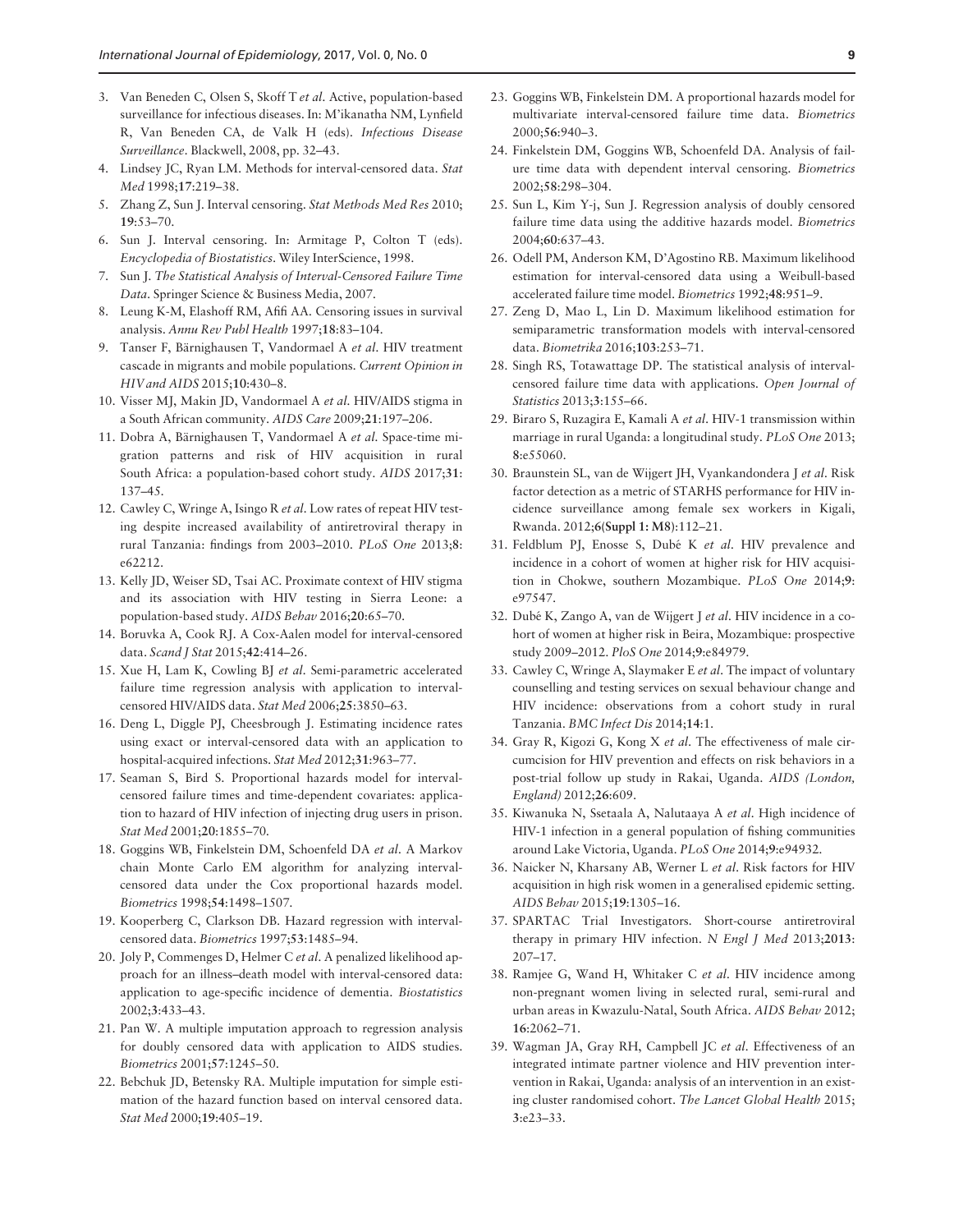- <span id="page-8-0"></span>3. Van Beneden C, Olsen S, Skoff T et al. Active, population-based surveillance for infectious diseases. In: M'ikanatha NM, Lynfield R, Van Beneden CA, de Valk H (eds). Infectious Disease Surveillance. Blackwell, 2008, pp. 32–43.
- 4. Lindsey JC, Ryan LM. Methods for interval-censored data. Stat Med 1998;17:219–38.
- 5. Zhang Z, Sun J. Interval censoring. Stat Methods Med Res 2010; 19:53–70.
- 6. Sun J. Interval censoring. In: Armitage P, Colton T (eds). Encyclopedia of Biostatistics. Wiley InterScience, 1998.
- 7. Sun J. The Statistical Analysis of Interval-Censored Failure Time Data. Springer Science & Business Media, 2007.
- 8. Leung K-M, Elashoff RM, Afifi AA. Censoring issues in survival analysis. Annu Rev Publ Health 1997;18:83–104.
- 9. Tanser F, Bärnighausen T, Vandormael A et al. HIV treatment cascade in migrants and mobile populations. Current Opinion in HIV and AIDS 2015;10:430–8.
- 10. Visser MJ, Makin JD, Vandormael A et al. HIV/AIDS stigma in a South African community. AIDS Care 2009;21:197–206.
- 11. Dobra A, Bärnighausen T, Vandormael A et al. Space-time migration patterns and risk of HIV acquisition in rural South Africa: a population-based cohort study. AIDS 2017;31: 137–45.
- 12. Cawley C, Wringe A, Isingo R et al. Low rates of repeat HIV testing despite increased availability of antiretroviral therapy in rural Tanzania: findings from 2003–2010. PLoS One 2013;8: e62212.
- 13. Kelly JD, Weiser SD, Tsai AC. Proximate context of HIV stigma and its association with HIV testing in Sierra Leone: a population-based study. AIDS Behav 2016;20:65–70.
- 14. Boruvka A, Cook RJ. A Cox-Aalen model for interval-censored data. Scand J Stat 2015;42:414-26.
- 15. Xue H, Lam K, Cowling BJ et al. Semi-parametric accelerated failure time regression analysis with application to intervalcensored HIV/AIDS data. Stat Med 2006;25:3850–63.
- 16. Deng L, Diggle PJ, Cheesbrough J. Estimating incidence rates using exact or interval-censored data with an application to hospital-acquired infections. Stat Med 2012;31:963-77.
- 17. Seaman S, Bird S. Proportional hazards model for intervalcensored failure times and time-dependent covariates: application to hazard of HIV infection of injecting drug users in prison. Stat Med 2001;20:1855–70.
- 18. Goggins WB, Finkelstein DM, Schoenfeld DA et al. A Markov chain Monte Carlo EM algorithm for analyzing intervalcensored data under the Cox proportional hazards model. Biometrics 1998;54:1498–1507.
- 19. Kooperberg C, Clarkson DB. Hazard regression with intervalcensored data. Biometrics 1997;53:1485–94.
- 20. Joly P, Commenges D, Helmer C et al. A penalized likelihood approach for an illness–death model with interval-censored data: application to age-specific incidence of dementia. Biostatistics 2002;3:433–43.
- 21. Pan W. A multiple imputation approach to regression analysis for doubly censored data with application to AIDS studies. Biometrics 2001;57:1245–50.
- 22. Bebchuk JD, Betensky RA. Multiple imputation for simple estimation of the hazard function based on interval censored data. Stat Med 2000;19:405–19.
- 23. Goggins WB, Finkelstein DM. A proportional hazards model for multivariate interval-censored failure time data. Biometrics 2000;56:940–3.
- 24. Finkelstein DM, Goggins WB, Schoenfeld DA. Analysis of failure time data with dependent interval censoring. Biometrics 2002;58:298–304.
- 25. Sun L, Kim Y-j, Sun J. Regression analysis of doubly censored failure time data using the additive hazards model. Biometrics 2004;60:637–43.
- 26. Odell PM, Anderson KM, D'Agostino RB. Maximum likelihood estimation for interval-censored data using a Weibull-based accelerated failure time model. Biometrics 1992;48:951–9.
- 27. Zeng D, Mao L, Lin D. Maximum likelihood estimation for semiparametric transformation models with interval-censored data. Biometrika 2016;103:253–71.
- 28. Singh RS, Totawattage DP. The statistical analysis of intervalcensored failure time data with applications. Open Journal of Statistics 2013;3:155–66.
- 29. Biraro S, Ruzagira E, Kamali A et al. HIV-1 transmission within marriage in rural Uganda: a longitudinal study. PLoS One 2013; 8:e55060.
- 30. Braunstein SL, van de Wijgert JH, Vyankandondera J et al. Risk factor detection as a metric of STARHS performance for HIV incidence surveillance among female sex workers in Kigali, Rwanda. 2012;6(Suppl 1: M8):112–21.
- 31. Feldblum PJ, Enosse S, Dubé K et al. HIV prevalence and incidence in a cohort of women at higher risk for HIV acquisition in Chokwe, southern Mozambique. PLoS One 2014;9: e97547.
- 32. Dubé K, Zango A, van de Wijgert J et al. HIV incidence in a cohort of women at higher risk in Beira, Mozambique: prospective study 2009–2012. PloS One 2014;9:e84979.
- 33. Cawley C, Wringe A, Slaymaker E et al. The impact of voluntary counselling and testing services on sexual behaviour change and HIV incidence: observations from a cohort study in rural Tanzania. BMC Infect Dis 2014;14:1.
- 34. Gray R, Kigozi G, Kong X et al. The effectiveness of male circumcision for HIV prevention and effects on risk behaviors in a post-trial follow up study in Rakai, Uganda. AIDS (London, England) 2012;26:609.
- 35. Kiwanuka N, Ssetaala A, Nalutaaya A et al. High incidence of HIV-1 infection in a general population of fishing communities around Lake Victoria, Uganda. PLoS One 2014;9:e94932.
- 36. Naicker N, Kharsany AB, Werner L et al. Risk factors for HIV acquisition in high risk women in a generalised epidemic setting. AIDS Behav 2015;19:1305–16.
- 37. SPARTAC Trial Investigators. Short-course antiretroviral therapy in primary HIV infection. N Engl J Med 2013;2013: 207–17.
- 38. Ramjee G, Wand H, Whitaker C et al. HIV incidence among non-pregnant women living in selected rural, semi-rural and urban areas in Kwazulu-Natal, South Africa. AIDS Behav 2012; 16:2062–71.
- 39. Wagman JA, Gray RH, Campbell JC et al. Effectiveness of an integrated intimate partner violence and HIV prevention intervention in Rakai, Uganda: analysis of an intervention in an existing cluster randomised cohort. The Lancet Global Health 2015; 3:e23–33.